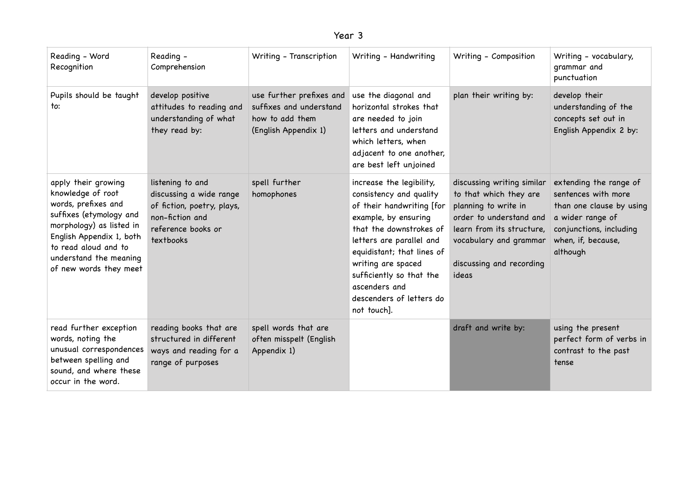| ear |  |
|-----|--|
|-----|--|

| Reading - Word<br>Recognition                                                                                                                                                                                                  | Reading -<br>Comprehension                                                                                                      | Writing - Transcription                                                                        | Writing - Handwriting                                                                                                                                                                                                                                                                                       | Writing - Composition                                                                                                                                                                               | Writing - vocabulary,<br>grammar and<br>punctuation                                                                                                        |
|--------------------------------------------------------------------------------------------------------------------------------------------------------------------------------------------------------------------------------|---------------------------------------------------------------------------------------------------------------------------------|------------------------------------------------------------------------------------------------|-------------------------------------------------------------------------------------------------------------------------------------------------------------------------------------------------------------------------------------------------------------------------------------------------------------|-----------------------------------------------------------------------------------------------------------------------------------------------------------------------------------------------------|------------------------------------------------------------------------------------------------------------------------------------------------------------|
| Pupils should be taught<br>to:                                                                                                                                                                                                 | develop positive<br>attitudes to reading and<br>understanding of what<br>they read by:                                          | use further prefixes and<br>suffixes and understand<br>how to add them<br>(English Appendix 1) | use the diagonal and<br>horizontal strokes that<br>are needed to join<br>letters and understand<br>which letters, when<br>adjacent to one another,<br>are best left unjoined                                                                                                                                | plan their writing by:                                                                                                                                                                              | develop their<br>understanding of the<br>concepts set out in<br>English Appendix 2 by:                                                                     |
| apply their growing<br>knowledge of root<br>words, prefixes and<br>suffixes (etymology and<br>morphology) as listed in<br>English Appendix 1, both<br>to read aloud and to<br>understand the meaning<br>of new words they meet | listening to and<br>discussing a wide range<br>of fiction, poetry, plays,<br>non-fiction and<br>reference books or<br>textbooks | spell further<br>homophones                                                                    | increase the legibility,<br>consistency and quality<br>of their handwriting [for<br>example, by ensuring<br>that the downstrokes of<br>letters are parallel and<br>equidistant; that lines of<br>writing are spaced<br>sufficiently so that the<br>ascenders and<br>descenders of letters do<br>not touch]. | discussing writing similar<br>to that which they are<br>planning to write in<br>order to understand and<br>learn from its structure,<br>vocabulary and grammar<br>discussing and recording<br>ideas | extending the range of<br>sentences with more<br>than one clause by using<br>a wider range of<br>conjunctions, including<br>when, if, because,<br>although |
| read further exception<br>words, noting the<br>unusual correspondences<br>between spelling and<br>sound, and where these<br>occur in the word.                                                                                 | reading books that are<br>structured in different<br>ways and reading for a<br>range of purposes                                | spell words that are<br>often misspelt (English<br>Appendix 1)                                 |                                                                                                                                                                                                                                                                                                             | draft and write by:                                                                                                                                                                                 | using the present<br>perfect form of verbs in<br>contrast to the past<br>tense                                                                             |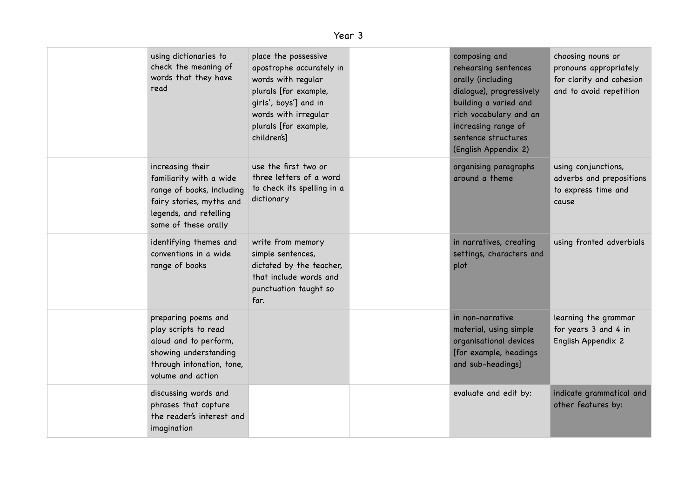| using dictionaries to<br>check the meaning of<br>words that they have<br>read                                                                          | place the possessive<br>apostrophe accurately in<br>words with regular<br>plurals [for example,<br>girls', boys'] and in<br>words with irregular<br>plurals [for example,<br>children's] | composing and<br>rehearsing sentences<br>orally (including<br>dialogue), progressively<br>building a varied and<br>rich vocabulary and an<br>increasing range of<br>sentence structures<br>(English Appendix 2) | choosing nouns or<br>pronouns appropriately<br>for clarity and cohesion<br>and to avoid repetition |
|--------------------------------------------------------------------------------------------------------------------------------------------------------|------------------------------------------------------------------------------------------------------------------------------------------------------------------------------------------|-----------------------------------------------------------------------------------------------------------------------------------------------------------------------------------------------------------------|----------------------------------------------------------------------------------------------------|
| increasing their<br>familiarity with a wide<br>range of books, including<br>fairy stories, myths and<br>legends, and retelling<br>some of these orally | use the first two or<br>three letters of a word<br>to check its spelling in a<br>dictionary                                                                                              | organising paragraphs<br>around a theme                                                                                                                                                                         | using conjunctions,<br>adverbs and prepositions<br>to express time and<br>cause                    |
| identifying themes and<br>conventions in a wide<br>range of books                                                                                      | write from memory<br>simple sentences,<br>dictated by the teacher,<br>that include words and<br>punctuation taught so<br>far.                                                            | in narratives, creating<br>settings, characters and<br>plot                                                                                                                                                     | using fronted adverbials                                                                           |
| preparing poems and<br>play scripts to read<br>aloud and to perform,<br>showing understanding<br>through intonation, tone,<br>volume and action        |                                                                                                                                                                                          | in non-narrative<br>material, using simple<br>organisational devices<br>[for example, headings<br>and sub-headings]                                                                                             | learning the grammar<br>for years 3 and 4 in<br>English Appendix 2                                 |
| discussing words and<br>phrases that capture<br>the reader's interest and<br>imagination                                                               |                                                                                                                                                                                          | evaluate and edit by:                                                                                                                                                                                           | indicate grammatical and<br>other features by:                                                     |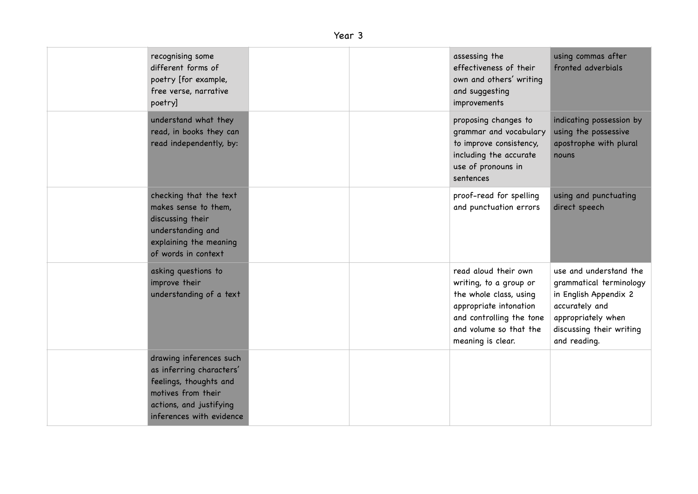## Year 3

| recognising some<br>different forms of<br>poetry [for example,<br>free verse, narrative<br>poetry]                                                         |  | assessing the<br>effectiveness of their<br>own and others' writing<br>and suggesting<br>improvements                                                                          | using commas after<br>fronted adverbials                                                                                                                       |
|------------------------------------------------------------------------------------------------------------------------------------------------------------|--|-------------------------------------------------------------------------------------------------------------------------------------------------------------------------------|----------------------------------------------------------------------------------------------------------------------------------------------------------------|
| understand what they<br>read, in books they can<br>read independently, by:                                                                                 |  | proposing changes to<br>grammar and vocabulary<br>to improve consistency,<br>including the accurate<br>use of pronouns in<br>sentences                                        | indicating possession by<br>using the possessive<br>apostrophe with plural<br>nouns                                                                            |
| checking that the text<br>makes sense to them,<br>discussing their<br>understanding and<br>explaining the meaning<br>of words in context                   |  | proof-read for spelling<br>and punctuation errors                                                                                                                             | using and punctuating<br>direct speech                                                                                                                         |
| asking questions to<br>improve their<br>understanding of a text                                                                                            |  | read aloud their own<br>writing, to a group or<br>the whole class, using<br>appropriate intonation<br>and controlling the tone<br>and volume so that the<br>meaning is clear. | use and understand the<br>grammatical terminology<br>in English Appendix 2<br>accurately and<br>appropriately when<br>discussing their writing<br>and reading. |
| drawing inferences such<br>as inferring characters'<br>feelings, thoughts and<br>motives from their<br>actions, and justifying<br>inferences with evidence |  |                                                                                                                                                                               |                                                                                                                                                                |